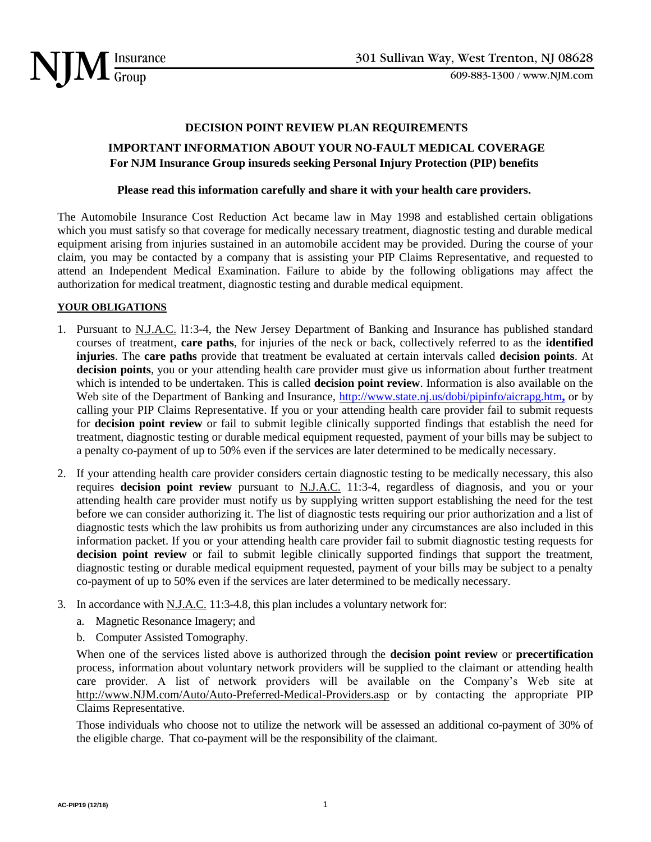

# 609-883-1300 / www.NJM.com

#### **DECISION POINT REVIEW PLAN REQUIREMENTS**

## **IMPORTANT INFORMATION ABOUT YOUR NO-FAULT MEDICAL COVERAGE For NJM Insurance Group insureds seeking Personal Injury Protection (PIP) benefits**

#### **Please read this information carefully and share it with your health care providers.**

The Automobile Insurance Cost Reduction Act became law in May 1998 and established certain obligations which you must satisfy so that coverage for medically necessary treatment, diagnostic testing and durable medical equipment arising from injuries sustained in an automobile accident may be provided. During the course of your claim, you may be contacted by a company that is assisting your PIP Claims Representative, and requested to attend an Independent Medical Examination. Failure to abide by the following obligations may affect the authorization for medical treatment, diagnostic testing and durable medical equipment.

#### **YOUR OBLIGATIONS**

- 1. Pursuant to N.J.A.C. 11:3-4, the New Jersey Department of Banking and Insurance has published standard courses of treatment, **care paths**, for injuries of the neck or back, collectively referred to as the **identified injuries**. The **care paths** provide that treatment be evaluated at certain intervals called **decision points**. At **decision points**, you or your attending health care provider must give us information about further treatment which is intended to be undertaken. This is called **decision point review**. Information is also available on the Web site of the Department of Banking and Insurance,  $\frac{http://www.state.nj.us/dobi/pipinfo/aicapg.htm, or by$ calling your PIP Claims Representative. If you or your attending health care provider fail to submit requests for **decision point review** or fail to submit legible clinically supported findings that establish the need for treatment, diagnostic testing or durable medical equipment requested, payment of your bills may be subject to a penalty co-payment of up to 50% even if the services are later determined to be medically necessary.
- 2. If your attending health care provider considers certain diagnostic testing to be medically necessary, this also requires **decision point review** pursuant to N.J.A.C. 11:3-4, regardless of diagnosis, and you or your attending health care provider must notify us by supplying written support establishing the need for the test before we can consider authorizing it. The list of diagnostic tests requiring our prior authorization and a list of diagnostic tests which the law prohibits us from authorizing under any circumstances are also included in this information packet. If you or your attending health care provider fail to submit diagnostic testing requests for decision point review or fail to submit legible clinically supported findings that support the treatment, diagnostic testing or durable medical equipment requested, payment of your bills may be subject to a penalty co-payment of up to 50% even if the services are later determined to be medically necessary.
- 3. In accordance with N.J.A.C. 11:3-4.8, this plan includes a voluntary network for:
	- a. Magnetic Resonance Imagery; and
	- b. Computer Assisted Tomography.

When one of the services listed above is authorized through the **decision point review** or **precertification** process, information about voluntary network providers will be supplied to the claimant or attending health care provider. A list of network providers will be available on the Company's Web site at [http://www.NJM.com/Auto/Auto-Preferred-Medical-Providers.asp](https://www.njm.com/insurance/auto/new-jersey/preferred-medical-providers) or by contacting the appropriate PIP Claims Representative.

Those individuals who choose not to utilize the network will be assessed an additional co-payment of 30% of the eligible charge. That co-payment will be the responsibility of the claimant.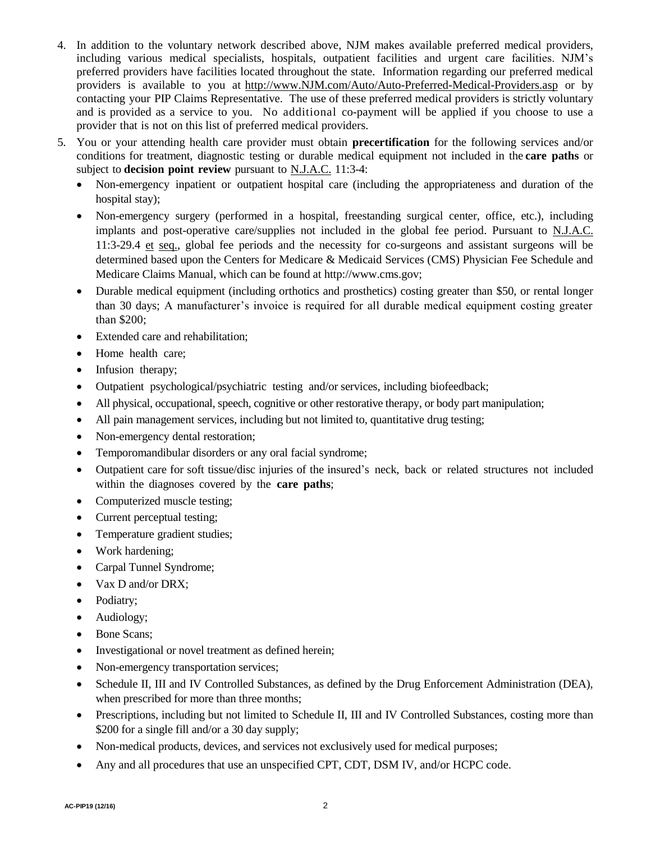- 4. In addition to the voluntary network described above, NJM makes available preferred medical providers, including various medical specialists, hospitals, outpatient facilities and urgent care facilities. NJM's preferred providers have facilities located throughout the state. Information regarding our preferred medical providers is available to you at [http://www.NJM.com/Auto/Auto-Preferred-Medical-Providers.asp](https://www.njm.com/insurance/auto/new-jersey/preferred-medical-providers) or by contacting your PIP Claims Representative. The use of these preferred medical providers is strictly voluntary and is provided as a service to you. No additional co-payment will be applied if you choose to use a provider that is not on this list of preferred medical providers.
- 5. You or your attending health care provider must obtain **precertification** for the following services and/or conditions for treatment, diagnostic testing or durable medical equipment not included in the **care paths** or subject to **decision point review** pursuant to N.J.A.C. 11:3-4:
	- Non-emergency inpatient or outpatient hospital care (including the appropriateness and duration of the hospital stay);
	- Non-emergency surgery (performed in a hospital, freestanding surgical center, office, etc.), including implants and post-operative care/supplies not included in the global fee period. Pursuant to N.J.A.C. 11:3-29.4 et seq., global fee periods and the necessity for co-surgeons and assistant surgeons will be determined based upon the Centers for Medicare & Medicaid Services (CMS) Physician Fee Schedule and Medicare Claims Manual, which can be found at http://www.cms.gov;
	- Durable medical equipment (including orthotics and prosthetics) costing greater than \$50, or rental longer than 30 days; A manufacturer's invoice is required for all durable medical equipment costing greater than \$200;
	- Extended care and rehabilitation;
	- Home health care;
	- Infusion therapy;
	- Outpatient psychological/psychiatric testing and/or services, including biofeedback;
	- All physical, occupational, speech, cognitive or other restorative therapy, or body part manipulation;
	- All pain management services, including but not limited to, quantitative drug testing;
	- Non-emergency dental restoration;
	- Temporomandibular disorders or any oral facial syndrome;
	- Outpatient care for soft tissue/disc injuries of the insured's neck, back or related structures not included within the diagnoses covered by the **care paths**;
	- Computerized muscle testing;
	- Current perceptual testing;
	- Temperature gradient studies;
	- Work hardening;
	- Carpal Tunnel Syndrome;
	- Vax D and/or DRX;
	- Podiatry;
	- Audiology;
	- Bone Scans:
	- Investigational or novel treatment as defined herein;
	- Non-emergency transportation services;
	- Schedule II, III and IV Controlled Substances, as defined by the Drug Enforcement Administration (DEA), when prescribed for more than three months;
	- Prescriptions, including but not limited to Schedule II, III and IV Controlled Substances, costing more than \$200 for a single fill and/or a 30 day supply;
	- Non-medical products, devices, and services not exclusively used for medical purposes;
	- Any and all procedures that use an unspecified CPT, CDT, DSM IV, and/or HCPC code.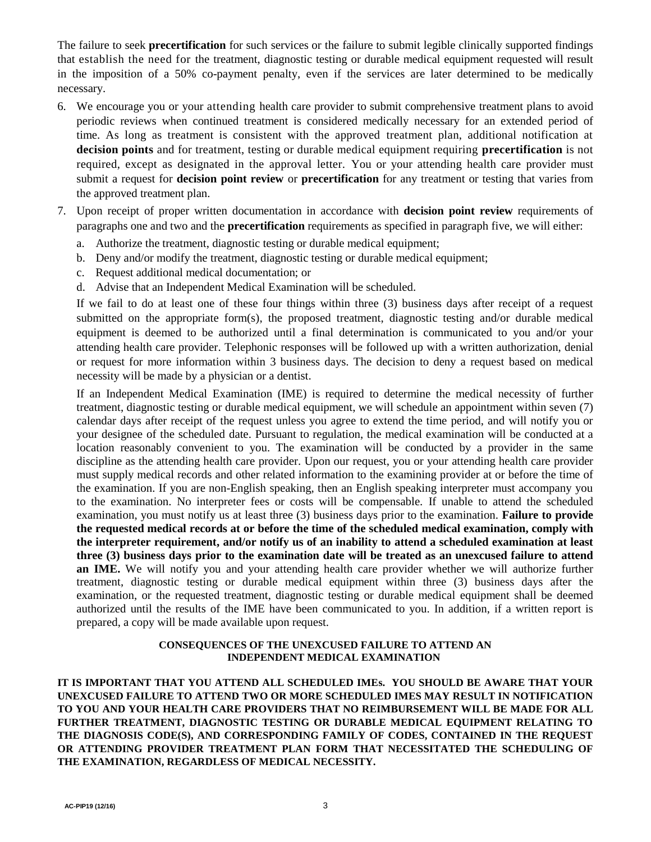The failure to seek **precertification** for such services or the failure to submit legible clinically supported findings that establish the need for the treatment, diagnostic testing or durable medical equipment requested will result in the imposition of a 50% co-payment penalty, even if the services are later determined to be medically necessary.

- 6. We encourage you or your attending health care provider to submit comprehensive treatment plans to avoid periodic reviews when continued treatment is considered medically necessary for an extended period of time. As long as treatment is consistent with the approved treatment plan, additional notification at **decision points** and for treatment, testing or durable medical equipment requiring **precertification** is not required, except as designated in the approval letter. You or your attending health care provider must submit a request for **decision point review** or **precertification** for any treatment or testing that varies from the approved treatment plan.
- 7. Upon receipt of proper written documentation in accordance with **decision point review** requirements of paragraphs one and two and the **precertification** requirements as specified in paragraph five, we will either:
	- a. Authorize the treatment, diagnostic testing or durable medical equipment;
	- b. Deny and/or modify the treatment, diagnostic testing or durable medical equipment;
	- c. Request additional medical documentation; or
	- d. Advise that an Independent Medical Examination will be scheduled.

If we fail to do at least one of these four things within three (3) business days after receipt of a request submitted on the appropriate form(s), the proposed treatment, diagnostic testing and/or durable medical equipment is deemed to be authorized until a final determination is communicated to you and/or your attending health care provider. Telephonic responses will be followed up with a written authorization, denial or request for more information within 3 business days. The decision to deny a request based on medical necessity will be made by a physician or a dentist.

If an Independent Medical Examination (IME) is required to determine the medical necessity of further treatment, diagnostic testing or durable medical equipment, we will schedule an appointment within seven (7) calendar days after receipt of the request unless you agree to extend the time period, and will notify you or your designee of the scheduled date. Pursuant to regulation, the medical examination will be conducted at a location reasonably convenient to you. The examination will be conducted by a provider in the same discipline as the attending health care provider. Upon our request, you or your attending health care provider must supply medical records and other related information to the examining provider at or before the time of the examination. If you are non-English speaking, then an English speaking interpreter must accompany you to the examination. No interpreter fees or costs will be compensable. If unable to attend the scheduled examination, you must notify us at least three (3) business days prior to the examination. **Failure to provide the requested medical records at or before the time of the scheduled medical examination, comply with the interpreter requirement, and/or notify us of an inability to attend a scheduled examination at least three (3) business days prior to the examination date will be treated as an unexcused failure to attend an IME.** We will notify you and your attending health care provider whether we will authorize further treatment, diagnostic testing or durable medical equipment within three (3) business days after the examination, or the requested treatment, diagnostic testing or durable medical equipment shall be deemed authorized until the results of the IME have been communicated to you. In addition, if a written report is prepared, a copy will be made available upon request.

#### **CONSEQUENCES OF THE UNEXCUSED FAILURE TO ATTEND AN INDEPENDENT MEDICAL EXAMINATION**

**IT IS IMPORTANT THAT YOU ATTEND ALL SCHEDULED IMEs. YOU SHOULD BE AWARE THAT YOUR UNEXCUSED FAILURE TO ATTEND TWO OR MORE SCHEDULED IMES MAY RESULT IN NOTIFICATION TO YOU AND YOUR HEALTH CARE PROVIDERS THAT NO REIMBURSEMENT WILL BE MADE FOR ALL FURTHER TREATMENT, DIAGNOSTIC TESTING OR DURABLE MEDICAL EQUIPMENT RELATING TO THE DIAGNOSIS CODE(S), AND CORRESPONDING FAMILY OF CODES, CONTAINED IN THE REQUEST OR ATTENDING PROVIDER TREATMENT PLAN FORM THAT NECESSITATED THE SCHEDULING OF THE EXAMINATION, REGARDLESS OF MEDICAL NECESSITY.**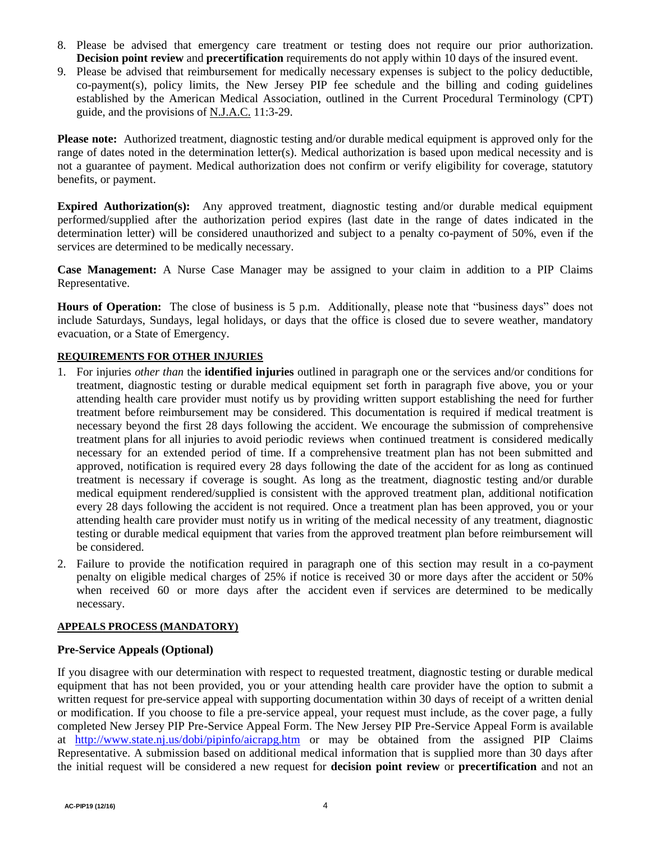- 8. Please be advised that emergency care treatment or testing does not require our prior authorization. **Decision point review and precertification** requirements do not apply within 10 days of the insured event.
- 9. Please be advised that reimbursement for medically necessary expenses is subject to the policy deductible,  $co-payment(s)$ , policy limits, the New Jersey PIP fee schedule and the billing and coding guidelines established by the American Medical Association, outlined in the Current Procedural Terminology (CPT) guide, and the provisions of N.J.A.C. 11:3-29.

**Please note:** Authorized treatment, diagnostic testing and/or durable medical equipment is approved only for the range of dates noted in the determination letter(s). Medical authorization is based upon medical necessity and is not a guarantee of payment. Medical authorization does not confirm or verify eligibility for coverage, statutory benefits, or payment.

**Expired Authorization(s):** Any approved treatment, diagnostic testing and/or durable medical equipment performed/supplied after the authorization period expires (last date in the range of dates indicated in the determination letter) will be considered unauthorized and subject to a penalty co-payment of 50%, even if the services are determined to be medically necessary.

**Case Management:** A Nurse Case Manager may be assigned to your claim in addition to a PIP Claims Representative.

**Hours of Operation:** The close of business is 5 p.m. Additionally, please note that "business days" does not include Saturdays, Sundays, legal holidays, or days that the office is closed due to severe weather, mandatory evacuation, or a State of Emergency.

# **REQUIREMENTS FOR OTHER INJURIES**

- 1. For injuries *other than* the **identified injuries** outlined in paragraph one or the services and/or conditions for treatment, diagnostic testing or durable medical equipment set forth in paragraph five above, you or your attending health care provider must notify us by providing written support establishing the need for further treatment before reimbursement may be considered. This documentation is required if medical treatment is necessary beyond the first 28 days following the accident. We encourage the submission of comprehensive treatment plans for all injuries to avoid periodic reviews when continued treatment is considered medically necessary for an extended period of time. If a comprehensive treatment plan has not been submitted and approved, notification is required every 28 days following the date of the accident for as long as continued treatment is necessary if coverage is sought. As long as the treatment, diagnostic testing and/or durable medical equipment rendered/supplied is consistent with the approved treatment plan, additional notification every 28 days following the accident is not required. Once a treatment plan has been approved, you or your attending health care provider must notify us in writing of the medical necessity of any treatment, diagnostic testing or durable medical equipment that varies from the approved treatment plan before reimbursement will be considered.
- 2. Failure to provide the notification required in paragraph one of this section may result in a co-payment penalty on eligible medical charges of 25% if notice is received 30 or more days after the accident or 50% when received 60 or more days after the accident even if services are determined to be medically necessary.

### **APPEALS PROCESS (MANDATORY)**

### **Pre-Service Appeals (Optional)**

If you disagree with our determination with respect to requested treatment, diagnostic testing or durable medical equipment that has not been provided, you or your attending health care provider have the option to submit a written request for pre-service appeal with supporting documentation within 30 days of receipt of a written denial or modification. If you choose to file a pre-service appeal, your request must include, as the cover page, a fully completed New Jersey PIP Pre-Service Appeal Form. The New Jersey PIP Pre-Service Appeal Form is available at <http://www.state.nj.us/dobi/pipinfo/aicrapg.htm>or may be obtained from the assigned PIP Claims Representative. A submission based on additional medical information that is supplied more than 30 days after the initial request will be considered a new request for **decision point review** or **precertification** and not an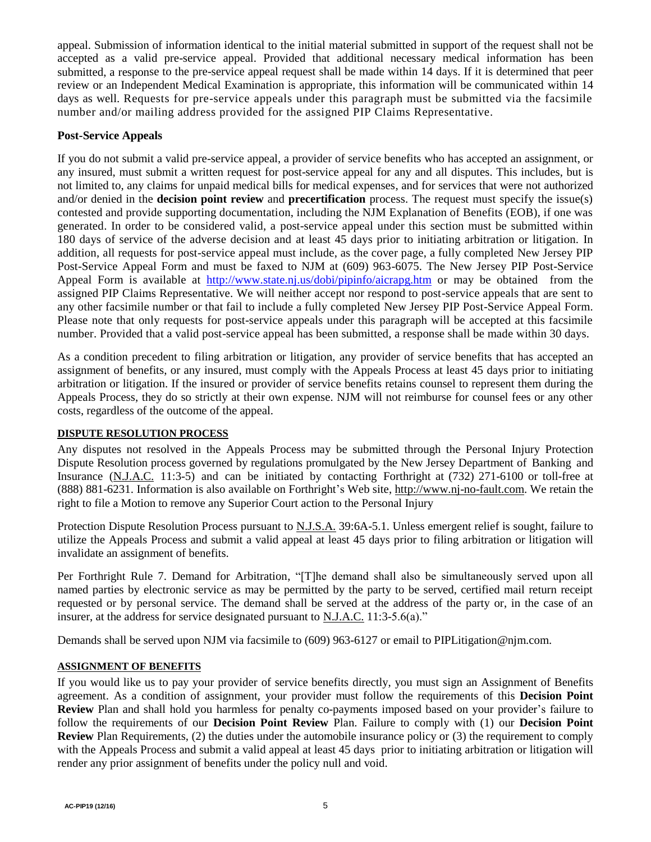appeal. Submission of information identical to the initial material submitted in support of the request shall not be accepted as a valid pre-service appeal. Provided that additional necessary medical information has been submitted, a response to the pre-service appeal request shall be made within 14 days. If it is determined that peer review or an Independent Medical Examination is appropriate, this information will be communicated within 14 days as well. Requests for pre-service appeals under this paragraph must be submitted via the facsimile number and/or mailing address provided for the assigned PIP Claims Representative.

## **Post-Service Appeals**

If you do not submit a valid pre-service appeal, a provider of service benefits who has accepted an assignment, or any insured, must submit a written request for post-service appeal for any and all disputes. This includes, but is not limited to, any claims for unpaid medical bills for medical expenses, and for services that were not authorized and/or denied in the **decision point review** and **precertification** process. The request must specify the issue(s) contested and provide supporting documentation, including the NJM Explanation of Benefits (EOB), if one was generated. In order to be considered valid, a post-service appeal under this section must be submitted within 180 days of service of the adverse decision and at least 45 days prior to initiating arbitration or litigation. In addition, all requests for post-service appeal must include, as the cover page, a fully completed New Jersey PIP Post-Service Appeal Form and must be faxed to NJM at (609) 963-6075. The New Jersey PIP Post-Service Appeal Form is available at <http://www.state.nj.us/dobi/pipinfo/aicrapg.htm>or may be obtained from the assigned PIP Claims Representative. We will neither accept nor respond to post-service appeals that are sent to any other facsimile number or that fail to include a fully completed New Jersey PIP Post-Service Appeal Form. Please note that only requests for post-service appeals under this paragraph will be accepted at this facsimile number. Provided that a valid post-service appeal has been submitted, a response shall be made within 30 days.

As a condition precedent to filing arbitration or litigation, any provider of service benefits that has accepted an assignment of benefits, or any insured, must comply with the Appeals Process at least 45 days prior to initiating arbitration or litigation. If the insured or provider of service benefits retains counsel to represent them during the Appeals Process, they do so strictly at their own expense. NJM will not reimburse for counsel fees or any other costs, regardless of the outcome of the appeal.

### **DISPUTE RESOLUTION PROCESS**

Any disputes not resolved in the Appeals Process may be submitted through the Personal Injury Protection Dispute Resolution process governed by regulations promulgated by the New Jersey Department of Banking and Insurance (N.J.A.C. 11:3-5) and can be initiated by contacting Forthright at (732) 271-6100 or toll-free at (888) 881-6231. Information is also available on Forthright's Web site, [http://www.nj-no-fault.com.](http://www.nj-no-fault.com/) We retain the right to file a Motion to remove any Superior Court action to the Personal Injury

Protection Dispute Resolution Process pursuant to N.J.S.A. 39:6A-5.1. Unless emergent relief is sought, failure to utilize the Appeals Process and submit a valid appeal at least 45 days prior to filing arbitration or litigation will invalidate an assignment of benefits.

Per Forthright Rule 7. Demand for Arbitration, "[T]he demand shall also be simultaneously served upon all named parties by electronic service as may be permitted by the party to be served, certified mail return receipt requested or by personal service. The demand shall be served at the address of the party or, in the case of an insurer, at the address for service designated pursuant to N.J.A.C. 11:3-5.6(a)."

Demands shall be served upon NJM via facsimile to (609) 963-6127 or email to PIPLitigation@njm.com.

### **ASSIGNMENT OF BENEFITS**

If you would like us to pay your provider of service benefits directly, you must sign an Assignment of Benefits agreement. As a condition of assignment, your provider must follow the requirements of this **Decision Point Review** Plan and shall hold you harmless for penalty co-payments imposed based on your provider's failure to follow the requirements of our **Decision Point Review** Plan. Failure to comply with (1) our **Decision Point Review** Plan Requirements, (2) the duties under the automobile insurance policy or (3) the requirement to comply with the Appeals Process and submit a valid appeal at least 45 days prior to initiating arbitration or litigation will render any prior assignment of benefits under the policy null and void.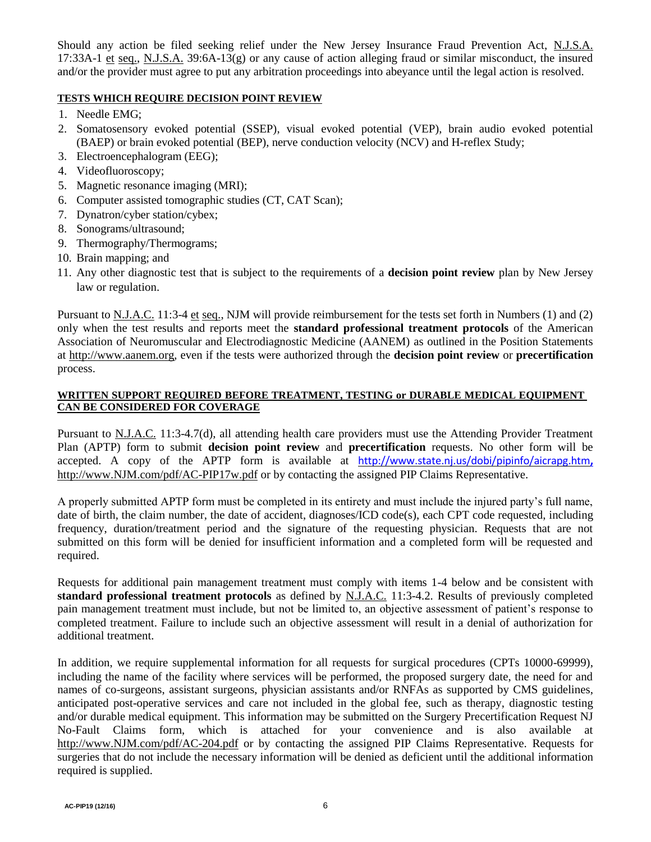Should any action be filed seeking relief under the New Jersey Insurance Fraud Prevention Act, N.J.S.A. 17:33A-1 et seq., N.J.S.A. 39:6A-13(g) or any cause of action alleging fraud or similar misconduct, the insured and/or the provider must agree to put any arbitration proceedings into abeyance until the legal action is resolved.

## **TESTS WHICH REQUIRE DECISION POINT REVIEW**

- 1. Needle EMG;
- 2. Somatosensory evoked potential (SSEP), visual evoked potential (VEP), brain audio evoked potential (BAEP) or brain evoked potential (BEP), nerve conduction velocity (NCV) and H-reflex Study;
- 3. Electroencephalogram (EEG);
- 4. Videofluoroscopy;
- 5. Magnetic resonance imaging (MRI);
- 6. Computer assisted tomographic studies (CT, CAT Scan);
- 7. Dynatron/cyber station/cybex;
- 8. Sonograms/ultrasound;
- 9. Thermography/Thermograms;
- 10. Brain mapping; and
- 11. Any other diagnostic test that is subject to the requirements of a **decision point review** plan by New Jersey law or regulation.

Pursuant to <u>N.J.A.C.</u> 11:3-4 et seq., NJM will provide reimbursement for the tests set forth in Numbers (1) and (2) only when the test results and reports meet the **standard professional treatment protocols** of the American Association of Neuromuscular and Electrodiagnostic Medicine (AANEM) as outlined in the Position Statements at http://www.aanem.org, even if the tests were authorized through the **decision point review** or **precertification** process.

## **WRITTEN SUPPORT REQUIRED BEFORE TREATMENT, TESTING or DURABLE MEDICAL EQUIPMENT CAN BE CONSIDERED FOR COVERAGE**

Pursuant to N.J.A.C. 11:3-4.7(d), all attending health care providers must use the Attending Provider Treatment Plan (APTP) form to submit **decision point review** and **precertification** requests. No other form will be accepted. A copy of the APTP form is available at <http://www.state.nj.us/dobi/pipinfo/aicrapg.htm>**,** [http://www.NJM.com/pdf/AC-PIP17w.pdf](https://www.njm.com/-/media/pdf/attending-provider-treatment-plan-ac-pip17w.pdf) or by contacting the assigned PIP Claims Representative.

A properly submitted APTP form must be completed in its entirety and must include the injured party's full name, date of birth, the claim number, the date of accident, diagnoses/ICD code(s), each CPT code requested, including frequency, duration/treatment period and the signature of the requesting physician. Requests that are not submitted on this form will be denied for insufficient information and a completed form will be requested and required.

Requests for additional pain management treatment must comply with items 1-4 below and be consistent with **standard professional treatment protocols** as defined by N.J.A.C. 11:3-4.2. Results of previously completed pain management treatment must include, but not be limited to, an objective assessment of patient's response to completed treatment. Failure to include such an objective assessment will result in a denial of authorization for additional treatment.

In addition, we require supplemental information for all requests for surgical procedures (CPTs 10000-69999), including the name of the facility where services will be performed, the proposed surgery date, the need for and names of co-surgeons, assistant surgeons, physician assistants and/or RNFAs as supported by CMS guidelines, anticipated post-operative services and care not included in the global fee, such as therapy, diagnostic testing and/or durable medical equipment. This information may be submitted on the Surgery Precertification Request NJ No-Fault Claims form, which is attached for your convenience and is also available at [http://www.NJM.com/](http://www.njm.com/)[pdf/AC-204.pdf](https://www.njm.com/-/media/pdf/surgery-pre-certification-request-for-nj-no-fault-claims-ac-204.pdf) or by contacting the assigned PIP Claims Representative. Requests for surgeries that do not include the necessary information will be denied as deficient until the additional information required is supplied.